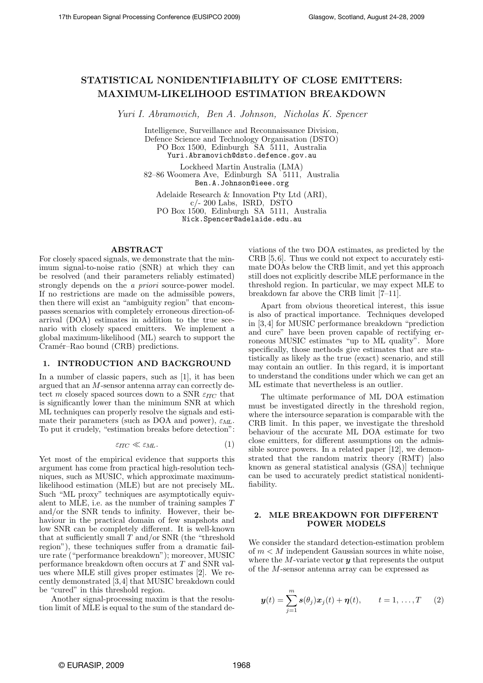# STATISTICAL NONIDENTIFIABILITY OF CLOSE EMITTERS: MAXIMUM-LIKELIHOOD ESTIMATION BREAKDOWN

Yuri I. Abramovich, Ben A. Johnson, Nicholas K. Spencer

Intelligence, Surveillance and Reconnaissance Division, Defence Science and Technology Organisation (DSTO) PO Box 1500, Edinburgh SA 5111, Australia Yuri.Abramovich@dsto.defence.gov.au

Lockheed Martin Australia (LMA)

82–86 Woomera Ave, Edinburgh SA 5111, Australia Ben.A.Johnson@ieee.org

Adelaide Research & Innovation Pty Ltd (ARI),  $c$ /- 200 Labs, ISRD, DSTO PO Box 1500, Edinburgh SA 5111, Australia Nick.Spencer@adelaide.edu.au

## ABSTRACT

For closely spaced signals, we demonstrate that the minimum signal-to-noise ratio (SNR) at which they can be resolved (and their parameters reliably estimated) strongly depends on the a priori source-power model. If no restrictions are made on the admissible powers, then there will exist an "ambiguity region" that encompasses scenarios with completely erroneous direction-ofarrival (DOA) estimates in addition to the true scenario with closely spaced emitters. We implement a global maximum-likelihood (ML) search to support the Cramér–Rao bound (CRB) predictions.

## 1. INTRODUCTION AND BACKGROUND

In a number of classic papers, such as [1], it has been argued that an M-sensor antenna array can correctly detect m closely spaced sources down to a SNR  $\varepsilon_{ITC}$  that is significantly lower than the minimum SNR at which ML techniques can properly resolve the signals and estimate their parameters (such as DOA and power),  $\varepsilon_{ML}$ . To put it crudely, "estimation breaks before detection":

$$
\varepsilon_{\text{ITC}} \ll \varepsilon_{\text{ML}}.\tag{1}
$$

Yet most of the empirical evidence that supports this argument has come from practical high-resolution techniques, such as MUSIC, which approximate maximumlikelihood estimation (MLE) but are not precisely ML. Such "ML proxy" techniques are asymptotically equivalent to MLE, i.e. as the number of training samples T and/or the SNR tends to infinity. However, their behaviour in the practical domain of few snapshots and low SNR can be completely different. It is well-known that at sufficiently small  $T$  and/or SNR (the "threshold") region"), these techniques suffer from a dramatic failure rate ("performance breakdown"); moreover, MUSIC performance breakdown often occurs at T and SNR values where MLE still gives proper estimates [2]. We recently demonstrated [3,4] that MUSIC breakdown could be "cured" in this threshold region.

Another signal-processing maxim is that the resolution limit of MLE is equal to the sum of the standard deviations of the two DOA estimates, as predicted by the CRB [5,6]. Thus we could not expect to accurately estimate DOAs below the CRB limit, and yet this approach still does not explicitly describe MLE performance in the threshold region. In particular, we may expect MLE to breakdown far above the CRB limit [7–11].

Apart from obvious theoretical interest, this issue is also of practical importance. Techniques developed in [3, 4] for MUSIC performance breakdown "prediction and cure" have been proven capable of rectifying erroneous MUSIC estimates "up to ML quality". More specifically, those methods give estimates that are statistically as likely as the true (exact) scenario, and still may contain an outlier. In this regard, it is important to understand the conditions under which we can get an ML estimate that nevertheless is an outlier.

The ultimate performance of ML DOA estimation must be investigated directly in the threshold region, where the intersource separation is comparable with the CRB limit. In this paper, we investigate the threshold behaviour of the accurate ML DOA estimate for two close emitters, for different assumptions on the admissible source powers. In a related paper [12], we demonstrated that the random matrix theory (RMT) [also known as general statistical analysis (GSA)] technique can be used to accurately predict statistical nonidentifiability.

### 2. MLE BREAKDOWN FOR DIFFERENT POWER MODELS

We consider the standard detection-estimation problem of  $m < M$  independent Gaussian sources in white noise, where the  $M$ -variate vector  $y$  that represents the output of the M-sensor antenna array can be expressed as

$$
\boldsymbol{y}(t) = \sum_{j=1}^{m} \boldsymbol{s}(\theta_j) \boldsymbol{x}_j(t) + \boldsymbol{\eta}(t), \qquad t = 1, \ldots, T \qquad (2)
$$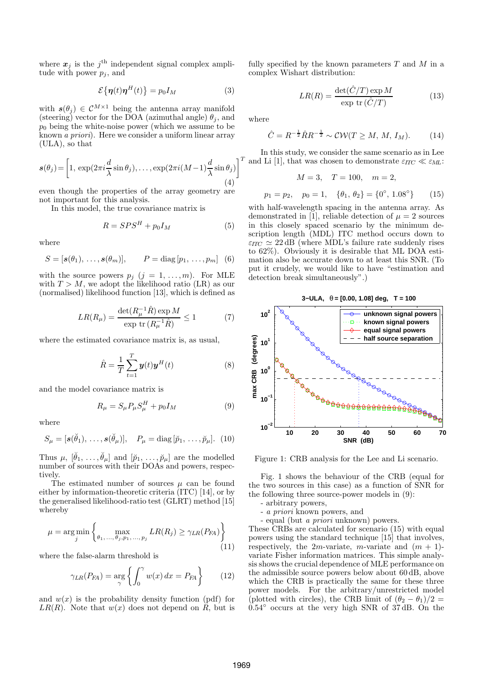where  $x_j$  is the  $j^{\text{th}}$  independent signal complex amplitude with power  $p_i$ , and

$$
\mathcal{E}\{\boldsymbol{\eta}(t)\boldsymbol{\eta}^H(t)\} = p_0 I_M \tag{3}
$$

with  $s(\theta_j) \in C^{M \times 1}$  being the antenna array manifold (steering) vector for the DOA (azimuthal angle)  $\theta_j$ , and  $p_0$  being the white-noise power (which we assume to be known a priori). Here we consider a uniform linear array (ULA), so that

$$
\boldsymbol{s}(\theta_j) = \left[1, \, \exp(2\pi i \frac{d}{\lambda} \sin \theta_j), \dots, \exp(2\pi i (M-1) \frac{d}{\lambda} \sin \theta_j)\right]^T \tag{4}
$$

even though the properties of the array geometry are not important for this analysis.

In this model, the true covariance matrix is

$$
R = SPS^H + p_0 I_M \tag{5}
$$

where

$$
S = [s(\theta_1), \ldots, s(\theta_m)], \qquad P = \text{diag}[p_1, \ldots, p_m] \quad (6)
$$

with the source powers  $p_j$   $(j = 1, ..., m)$ . For MLE with  $T > M$ , we adopt the likelihood ratio (LR) as our (normalised) likelihood function [13], which is defined as

$$
LR(R_{\mu}) = \frac{\det(R_{\mu}^{-1}\hat{R}) \exp M}{\exp \text{ tr } (R_{\mu}^{-1}\hat{R})} \le 1
$$
 (7)

where the estimated covariance matrix is, as usual,

$$
\hat{R} = \frac{1}{T} \sum_{t=1}^{T} \boldsymbol{y}(t) \boldsymbol{y}^{H}(t)
$$
\n(8)

and the model covariance matrix is

$$
R_{\mu} = S_{\mu} P_{\mu} S_{\mu}^{H} + p_{0} I_{M}
$$
\n(9)

where

$$
S_{\mu} = [s(\check{\theta}_1), \ldots, s(\check{\theta}_{\mu})], \quad P_{\mu} = \text{diag}[\check{p}_1, \ldots, \check{p}_{\mu}]. \tag{10}
$$

Thus  $\mu$ ,  $[\check{\theta}_1, \ldots, \check{\theta}_\mu]$  and  $[\check{p}_1, \ldots, \check{p}_\mu]$  are the modelled number of sources with their DOAs and powers, respectively.

The estimated number of sources  $\mu$  can be found either by information-theoretic criteria (ITC) [14], or by the generalised likelihood-ratio test (GLRT) method [15] whereby

$$
\mu = \underset{j}{\arg\min} \left\{ \max_{\theta_1, \dots, \theta_j, p_1, \dots, p_j} LR(R_j) \ge \gamma_{LR}(P_{FA}) \right\}
$$
(11)

where the false-alarm threshold is

$$
\gamma_{LR}(P_{FA}) = \underset{\gamma}{\arg} \left\{ \int_0^{\gamma} w(x) \, dx = P_{FA} \right\} \tag{12}
$$

and  $w(x)$  is the probability density function (pdf) for  $LR(R)$ . Note that  $w(x)$  does not depend on R, but is fully specified by the known parameters  $T$  and  $M$  in a complex Wishart distribution:

$$
LR(R) = \frac{\det(\hat{C}/T) \exp M}{\exp \text{ tr}(\hat{C}/T)}
$$
(13)

where

$$
\hat{C} = R^{-\frac{1}{2}} \hat{R} R^{-\frac{1}{2}} \sim \mathcal{C} \mathcal{W} (T \ge M, M, I_M).
$$
 (14)

In this study, we consider the same scenario as in Lee and Li [1], that was chosen to demonstrate  $\varepsilon_{\text{ITC}} \ll \varepsilon_{ML}$ :

$$
M = 3, \quad T = 100, \quad m = 2,
$$
  

$$
p_1 = p_2, \quad p_0 = 1, \quad \{\theta_1, \theta_2\} = \{0^\circ, 1.08^\circ\} \tag{15}
$$

with half-wavelength spacing in the antenna array. As demonstrated in [1], reliable detection of  $\mu = 2$  sources in this closely spaced scenario by the minimum description length (MDL) ITC method occurs down to  $\varepsilon_{\text{ITC}} \simeq 22 \text{ dB}$  (where MDL's failure rate suddenly rises to 62%). Obviously it is desirable that ML DOA estimation also be accurate down to at least this SNR. (To put it crudely, we would like to have "estimation and detection break simultaneously".)





Figure 1: CRB analysis for the Lee and Li scenario.

Fig. 1 shows the behaviour of the CRB (equal for the two sources in this case) as a function of SNR for the following three source-power models in (9):

- arbitrary powers,

- a priori known powers, and

- equal (but a priori unknown) powers.

These CRBs are calculated for scenario (15) with equal powers using the standard technique [15] that involves, respectively, the 2m-variate, m-variate and  $(m + 1)$ variate Fisher information matrices. This simple analysis shows the crucial dependence of MLE performance on the admissible source powers below about 60 dB, above which the CRB is practically the same for these three power models. For the arbitrary/unrestricted model (plotted with circles), the CRB limit of  $(\theta_2 - \theta_1)/2 =$ 0.54◦ occurs at the very high SNR of 37 dB. On the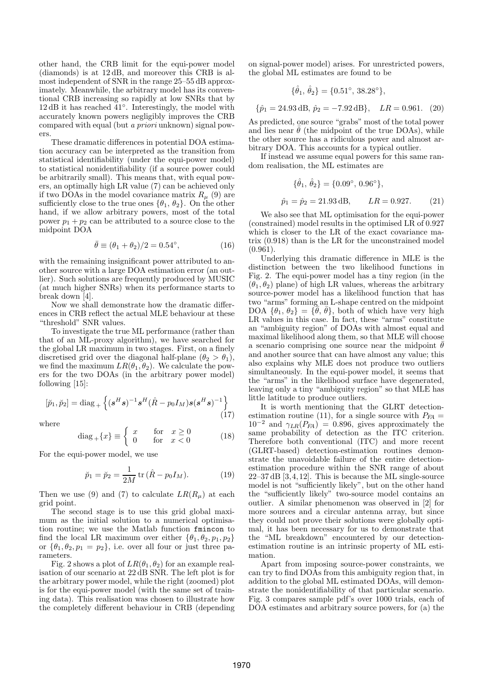other hand, the CRB limit for the equi-power model (diamonds) is at 12 dB, and moreover this CRB is almost independent of SNR in the range 25–55 dB approximately. Meanwhile, the arbitrary model has its conventional CRB increasing so rapidly at low SNRs that by 12 dB it has reached 41◦ . Interestingly, the model with accurately known powers negligibly improves the CRB compared with equal (but a priori unknown) signal powers.

These dramatic differences in potential DOA estimation accuracy can be interpreted as the transition from statistical identifiability (under the equi-power model) to statistical nonidentifiability (if a source power could be arbitrarily small). This means that, with equal powers, an optimally high LR value (7) can be achieved only if two DOAs in the model covariance matrix  $R_u$  (9) are sufficiently close to the true ones  $\{\theta_1, \theta_2\}$ . On the other hand, if we allow arbitrary powers, most of the total power  $p_1 + p_2$  can be attributed to a source close to the midpoint DOA

$$
\bar{\theta} \equiv (\theta_1 + \theta_2)/2 = 0.54^{\circ}, \tag{16}
$$

with the remaining insignificant power attributed to another source with a large DOA estimation error (an outlier). Such solutions are frequently produced by MUSIC (at much higher SNRs) when its performance starts to break down [4].

Now we shall demonstrate how the dramatic differences in CRB reflect the actual MLE behaviour at these "threshold" SNR values.

To investigate the true ML performance (rather than that of an ML-proxy algorithm), we have searched for the global LR maximum in two stages. First, on a finely discretised grid over the diagonal half-plane  $(\theta_2 > \theta_1)$ , we find the maximum  $LR(\theta_1, \theta_2)$ . We calculate the powers for the two DOAs (in the arbitrary power model) following  $|15|$ :

$$
[\breve{p}_1, \breve{p}_2] = \text{diag}_{+} \left\{ (\mathbf{s}^H \mathbf{s})^{-1} \mathbf{s}^H (\hat{R} - p_0 I_M) \mathbf{s} (\mathbf{s}^H \mathbf{s})^{-1} \right\}
$$
(17)

where

$$
diag_{+}\{x\} \equiv \begin{cases} x & \text{for} \quad x \ge 0 \\ 0 & \text{for} \quad x < 0 \end{cases}
$$
 (18)

For the equi-power model, we use

$$
\breve{p}_1 = \breve{p}_2 = \frac{1}{2M} \text{tr} \, (\hat{R} - p_0 I_M). \tag{19}
$$

Then we use (9) and (7) to calculate  $LR(R_u)$  at each grid point.

The second stage is to use this grid global maximum as the initial solution to a numerical optimisation routine; we use the Matlab function fmincon to find the local LR maximum over either  $\{\theta_1, \theta_2, p_1, p_2\}$ or  $\{\theta_1, \theta_2, p_1 = p_2\}$ , i.e. over all four or just three parameters.

Fig. 2 shows a plot of  $LR(\theta_1, \theta_2)$  for an example realisation of our scenario at 22 dB SNR. The left plot is for the arbitrary power model, while the right (zoomed) plot is for the equi-power model (with the same set of training data). This realisation was chosen to illustrate how the completely different behaviour in CRB (depending on signal-power model) arises. For unrestricted powers, the global ML estimates are found to be

$$
\{\hat{\theta}_1, \,\hat{\theta}_2\} = \{0.51^\circ, \, 38.28^\circ\},
$$

 ${\hat{p}_1 = 24.93 \text{ dB}, \hat{p}_2 = -7.92 \text{ dB}}, \quad LR = 0.961. (20)$ 

As predicted, one source "grabs" most of the total power and lies near  $\bar{\theta}$  (the midpoint of the true DOAs), while the other source has a ridiculous power and almost arbitrary DOA. This accounts for a typical outlier.

If instead we assume equal powers for this same random realisation, the ML estimates are

$$
\{\hat{\theta}_1, \hat{\theta}_2\} = \{0.09^\circ, 0.96^\circ\},
$$
  

$$
\hat{p}_1 = \hat{p}_2 = 21.93 \,\text{dB}, \qquad LR = 0.927. \tag{21}
$$

We also see that ML optimisation for the equi-power (constrained) model results in the optimised LR of 0.927 which is closer to the LR of the exact covariance matrix (0.918) than is the LR for the unconstrained model  $(0.961).$ 

Underlying this dramatic difference in MLE is the distinction between the two likelihood functions in Fig. 2. The equi-power model has a tiny region (in the  $(\theta_1, \theta_2)$  plane) of high LR values, whereas the arbitrary source-power model has a likelihood function that has two "arms" forming an L-shape centred on the midpoint DOA  $\{\theta_1, \theta_2\} = \{\bar{\theta}, \bar{\theta}\}\$ , both of which have very high LR values in this case. In fact, these "arms" constitute an "ambiguity region" of DOAs with almost equal and maximal likelihood along them, so that MLE will choose a scenario comprising one source near the midpoint  $\theta$ and another source that can have almost any value; this also explains why MLE does not produce two outliers simultaneously. In the equi-power model, it seems that the "arms" in the likelihood surface have degenerated, leaving only a tiny "ambiguity region" so that MLE has little latitude to produce outliers.

It is worth mentioning that the GLRT detectionestimation routine (11), for a single source with  $P_{FA} =$  $10^{-2}$  and  $\gamma_{LR}(P_{FA}) = 0.896$ , gives approximately the same probability of detection as the ITC criterion. Therefore both conventional (ITC) and more recent (GLRT-based) detection-estimation routines demonstrate the unavoidable failure of the entire detectionestimation procedure within the SNR range of about 22–37 dB [3,4,12]. This is because the ML single-source model is not "sufficiently likely", but on the other hand the "sufficiently likely" two-source model contains an outlier. A similar phenomenon was observed in [2] for more sources and a circular antenna array, but since they could not prove their solutions were globally optimal, it has been necessary for us to demonstrate that the "ML breakdown" encountered by our detectionestimation routine is an intrinsic property of ML estimation.

Apart from imposing source-power constraints, we can try to find DOAs from this ambiguity region that, in addition to the global ML estimated DOAs, will demonstrate the nonidentifiability of that particular scenario. Fig. 3 compares sample pdf's over 1000 trials, each of DOA estimates and arbitrary source powers, for (a) the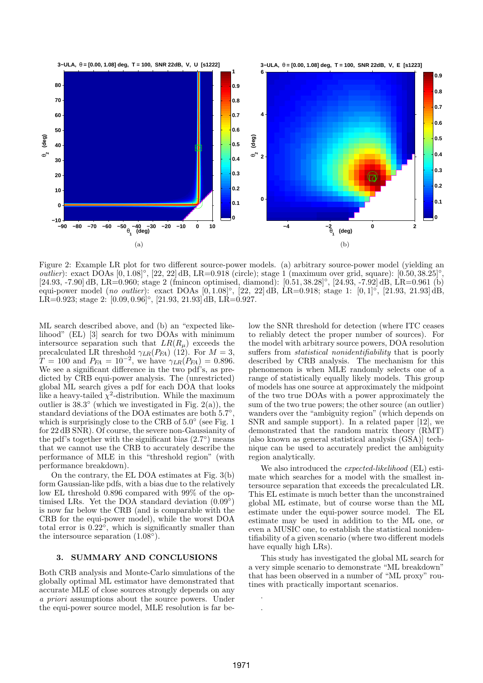

Figure 2: Example LR plot for two different source-power models. (a) arbitrary source-power model (yielding an outlier): exact DOAs  $[0, 1.08]^\circ$ ,  $[22, 22]$  dB, LR=0.918 (circle); stage 1 (maximum over grid, square):  $[0.50, 38.25]^\circ$ , [24.93, -7.90] dB, LR=0.960; stage 2 (fmincon optimised, diamond): [0.51, 38.28]◦ , [24.93, -7.92] dB, LR=0.961 (b) equi-power model (no outlier): exact DOAs  $[0, 1.08]^\circ$ ,  $[22, 22]$  dB, LR=0.918; stage 1:  $[0, 1]^\circ$ ,  $[21.93, 21.93]$  dB, LR=0.923; stage 2:  $[0.09, 0.96]^\circ$ ,  $[21.93, 21.93]$ dB, LR=0.927.

ML search described above, and (b) an "expected likelihood" (EL) [3] search for two DOAs with minimum intersource separation such that  $LR(R_u)$  exceeds the precalculated LR threshold  $\gamma_{LR}(P_{FA})$  (12). For  $M=3$ ,  $T = 100$  and  $P_{FA} = 10^{-2}$ , we have  $\gamma_{LR}(P_{FA}) = 0.896$ . We see a significant difference in the two pdf's, as predicted by CRB equi-power analysis. The (unrestricted) global ML search gives a pdf for each DOA that looks like a heavy-tailed  $\chi^2$ -distribution. While the maximum outlier is  $38.3^{\circ}$  (which we investigated in Fig. 2(a)), the standard deviations of the DOA estimates are both 5.7°, which is surprisingly close to the CRB of  $5.0^{\circ}$  (see Fig. 1) for 22 dB SNR). Of course, the severe non-Gaussianity of the pdf's together with the significant bias  $(2.7^{\circ})$  means that we cannot use the CRB to accurately describe the performance of MLE in this "threshold region" (with performance breakdown).

On the contrary, the EL DOA estimates at Fig. 3(b) form Gaussian-like pdfs, with a bias due to the relatively low EL threshold 0.896 compared with 99% of the optimised LRs. Yet the DOA standard deviation  $(0.09^{\circ})$ is now far below the CRB (and is comparable with the CRB for the equi-power model), while the worst DOA total error is  $0.22^{\circ}$ , which is significantly smaller than the intersource separation  $(1.08^{\circ}).$ 

## 3. SUMMARY AND CONCLUSIONS

Both CRB analysis and Monte-Carlo simulations of the globally optimal ML estimator have demonstrated that accurate MLE of close sources strongly depends on any a priori assumptions about the source powers. Under the equi-power source model, MLE resolution is far below the SNR threshold for detection (where ITC ceases to reliably detect the proper number of sources). For the model with arbitrary source powers, DOA resolution suffers from statistical nonidentifiability that is poorly described by CRB analysis. The mechanism for this phenomenon is when MLE randomly selects one of a range of statistically equally likely models. This group of models has one source at approximately the midpoint of the two true DOAs with a power approximately the sum of the two true powers; the other source (an outlier) wanders over the "ambiguity region" (which depends on SNR and sample support). In a related paper [12], we demonstrated that the random matrix theory (RMT) [also known as general statistical analysis (GSA)] technique can be used to accurately predict the ambiguity region analytically.

We also introduced the *expected-likelihood* (EL) estimate which searches for a model with the smallest intersource separation that exceeds the precalculated LR. This EL estimate is much better than the unconstrained global ML estimate, but of course worse than the ML estimate under the equi-power source model. The EL estimate may be used in addition to the ML one, or even a MUSIC one, to establish the statistical nonidentifiability of a given scenario (where two different models have equally high LRs).

This study has investigated the global ML search for a very simple scenario to demonstrate "ML breakdown" that has been observed in a number of "ML proxy" routines with practically important scenarios.

. .